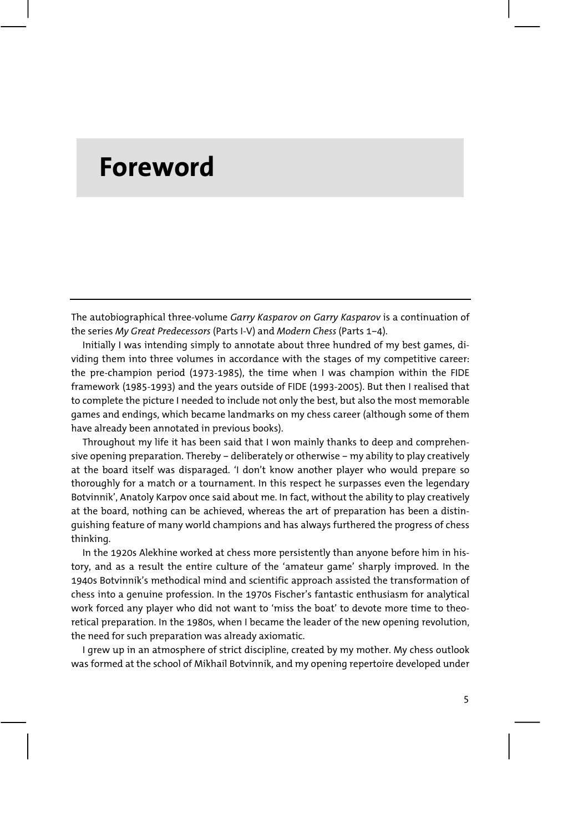## **Foreword**

The autobiographical three-volume *Garry Kasparov on Garry Kasparov* is a continuation of the series *My Great Predecessors* (Parts I-V) and *Modern Chess* (Parts 1–4).

Initially I was intending simply to annotate about three hundred of my best games, dividing them into three volumes in accordance with the stages of my competitive career: the pre-champion period (1973-1985), the time when I was champion within the FIDE framework (1985-1993) and the years outside of FIDE (1993-2005). But then I realised that to complete the picture I needed to include not only the best, but also the most memorable games and endings, which became landmarks on my chess career (although some of them have already been annotated in previous books).

Throughout my life it has been said that I won mainly thanks to deep and comprehensive opening preparation. Thereby – deliberately or otherwise – my ability to play creatively at the board itself was disparaged. 'I don't know another player who would prepare so thoroughly for a match or a tournament. In this respect he surpasses even the legendary Botvinnik', Anatoly Karpov once said about me. In fact, without the ability to play creatively at the board, nothing can be achieved, whereas the art of preparation has been a distinguishing feature of many world champions and has always furthered the progress of chess thinking.

In the 1920s Alekhine worked at chess more persistently than anyone before him in history, and as a result the entire culture of the 'amateur game' sharply improved. In the 1940s Botvinnik's methodical mind and scientific approach assisted the transformation of chess into a genuine profession. In the 1970s Fischer's fantastic enthusiasm for analytical work forced any player who did not want to 'miss the boat' to devote more time to theoretical preparation. In the 1980s, when I became the leader of the new opening revolution, the need for such preparation was already axiomatic.

I grew up in an atmosphere of strict discipline, created by my mother. My chess outlook was formed at the school of Mikhail Botvinnik, and my opening repertoire developed under